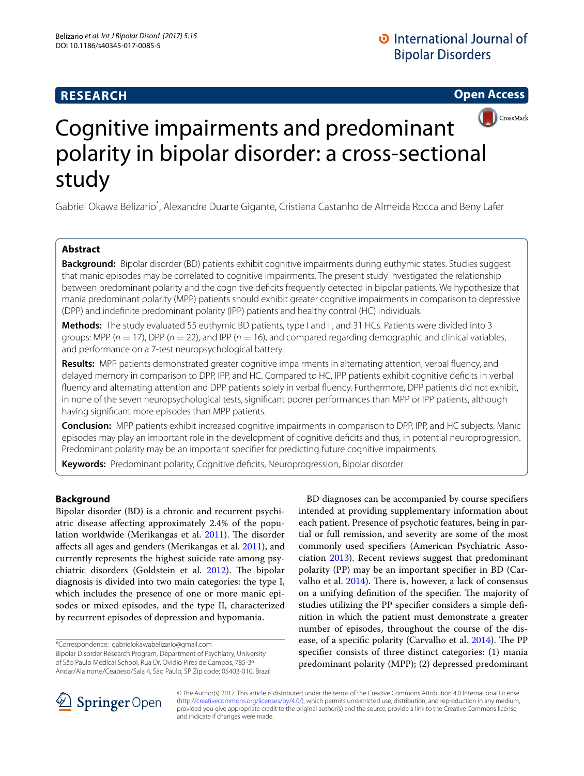# **RESEARCH**





# Cognitive impairments and predominant polarity in bipolar disorder: a cross-sectional study

Gabriel Okawa Belizario\* , Alexandre Duarte Gigante, Cristiana Castanho de Almeida Rocca and Beny Lafer

# **Abstract**

**Background:** Bipolar disorder (BD) patients exhibit cognitive impairments during euthymic states. Studies suggest that manic episodes may be correlated to cognitive impairments. The present study investigated the relationship between predominant polarity and the cognitive defcits frequently detected in bipolar patients. We hypothesize that mania predominant polarity (MPP) patients should exhibit greater cognitive impairments in comparison to depressive (DPP) and indefnite predominant polarity (IPP) patients and healthy control (HC) individuals.

**Methods:** The study evaluated 55 euthymic BD patients, type I and II, and 31 HCs. Patients were divided into 3 groups: MPP (*n* = 17), DPP (*n* = 22), and IPP (*n* = 16), and compared regarding demographic and clinical variables, and performance on a 7-test neuropsychological battery.

**Results:** MPP patients demonstrated greater cognitive impairments in alternating attention, verbal fuency, and delayed memory in comparison to DPP, IPP, and HC. Compared to HC, IPP patients exhibit cognitive defcits in verbal fuency and alternating attention and DPP patients solely in verbal fuency. Furthermore, DPP patients did not exhibit, in none of the seven neuropsychological tests, signifcant poorer performances than MPP or IPP patients, although having signifcant more episodes than MPP patients.

**Conclusion:** MPP patients exhibit increased cognitive impairments in comparison to DPP, IPP, and HC subjects. Manic episodes may play an important role in the development of cognitive defcits and thus, in potential neuroprogression. Predominant polarity may be an important specifer for predicting future cognitive impairments.

**Keywords:** Predominant polarity, Cognitive defcits, Neuroprogression, Bipolar disorder

# **Background**

Bipolar disorder (BD) is a chronic and recurrent psychiatric disease afecting approximately 2.4% of the popu-lation worldwide (Merikangas et al. [2011\)](#page-5-0). The disorder afects all ages and genders (Merikangas et al. [2011](#page-5-0)), and currently represents the highest suicide rate among psy-chiatric disorders (Goldstein et al. [2012\)](#page-5-1). The bipolar diagnosis is divided into two main categories: the type I, which includes the presence of one or more manic episodes or mixed episodes, and the type II, characterized by recurrent episodes of depression and hypomania.

\*Correspondence: gabrielokawabelizario@gmail.com Bipolar Disorder Research Program, Department of Psychiatry, University of São Paulo Medical School, Rua Dr. Ovidio Pires de Campos, 785-3º Andar/Ala norte/Ceapesq/Sala 4, São Paulo, SP Zip code: 05403-010, Brazil

BD diagnoses can be accompanied by course specifers intended at providing supplementary information about each patient. Presence of psychotic features, being in partial or full remission, and severity are some of the most commonly used specifers (American Psychiatric Association [2013](#page-4-0)). Recent reviews suggest that predominant polarity (PP) may be an important specifer in BD (Carvalho et al.  $2014$ ). There is, however, a lack of consensus on a unifying definition of the specifier. The majority of studies utilizing the PP specifer considers a simple defnition in which the patient must demonstrate a greater number of episodes, throughout the course of the dis-ease, of a specific polarity (Carvalho et al. [2014\)](#page-5-2). The PP specifer consists of three distinct categories: (1) mania predominant polarity (MPP); (2) depressed predominant



© The Author(s) 2017. This article is distributed under the terms of the Creative Commons Attribution 4.0 International License [\(http://creativecommons.org/licenses/by/4.0/\)](http://creativecommons.org/licenses/by/4.0/), which permits unrestricted use, distribution, and reproduction in any medium, provided you give appropriate credit to the original author(s) and the source, provide a link to the Creative Commons license, and indicate if changes were made.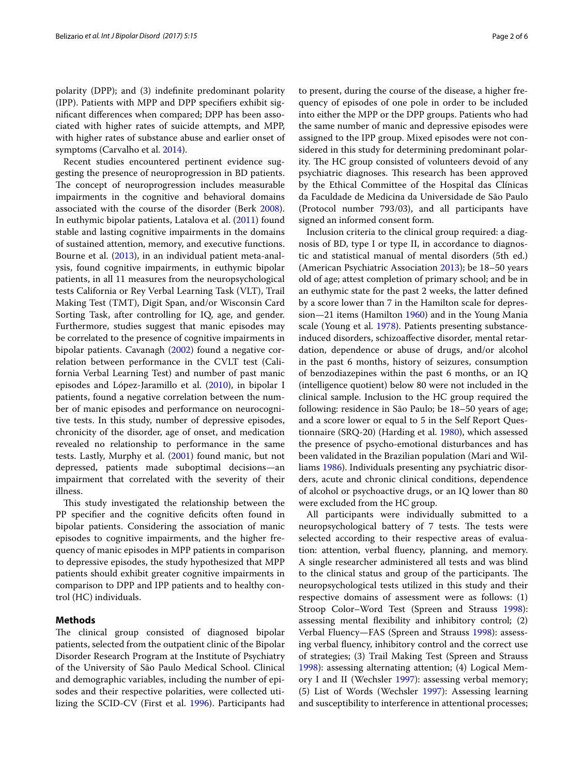polarity (DPP); and (3) indefnite predominant polarity (IPP). Patients with MPP and DPP specifers exhibit signifcant diferences when compared; DPP has been associated with higher rates of suicide attempts, and MPP, with higher rates of substance abuse and earlier onset of symptoms (Carvalho et al. [2014\)](#page-5-2).

Recent studies encountered pertinent evidence suggesting the presence of neuroprogression in BD patients. The concept of neuroprogression includes measurable impairments in the cognitive and behavioral domains associated with the course of the disorder (Berk [2008](#page-5-3)). In euthymic bipolar patients, Latalova et al. ([2011\)](#page-5-4) found stable and lasting cognitive impairments in the domains of sustained attention, memory, and executive functions. Bourne et al. ([2013\)](#page-5-5), in an individual patient meta-analysis, found cognitive impairments, in euthymic bipolar patients, in all 11 measures from the neuropsychological tests California or Rey Verbal Learning Task (VLT), Trail Making Test (TMT), Digit Span, and/or Wisconsin Card Sorting Task, after controlling for IQ, age, and gender. Furthermore, studies suggest that manic episodes may be correlated to the presence of cognitive impairments in bipolar patients. Cavanagh ([2002](#page-5-6)) found a negative correlation between performance in the CVLT test (California Verbal Learning Test) and number of past manic episodes and López-Jaramillo et al. ([2010\)](#page-5-7), in bipolar I patients, found a negative correlation between the number of manic episodes and performance on neurocognitive tests. In this study, number of depressive episodes, chronicity of the disorder, age of onset, and medication revealed no relationship to performance in the same tests. Lastly, Murphy et al. ([2001](#page-5-8)) found manic, but not depressed, patients made suboptimal decisions—an impairment that correlated with the severity of their illness.

This study investigated the relationship between the PP specifier and the cognitive deficits often found in bipolar patients. Considering the association of manic episodes to cognitive impairments, and the higher frequency of manic episodes in MPP patients in comparison to depressive episodes, the study hypothesized that MPP patients should exhibit greater cognitive impairments in comparison to DPP and IPP patients and to healthy control (HC) individuals.

# **Methods**

The clinical group consisted of diagnosed bipolar patients, selected from the outpatient clinic of the Bipolar Disorder Research Program at the Institute of Psychiatry of the University of São Paulo Medical School. Clinical and demographic variables, including the number of episodes and their respective polarities, were collected utilizing the SCID-CV (First et al. [1996](#page-5-9)). Participants had to present, during the course of the disease, a higher frequency of episodes of one pole in order to be included into either the MPP or the DPP groups. Patients who had the same number of manic and depressive episodes were assigned to the IPP group. Mixed episodes were not considered in this study for determining predominant polarity. The HC group consisted of volunteers devoid of any psychiatric diagnoses. This research has been approved by the Ethical Committee of the Hospital das Clínicas da Faculdade de Medicina da Universidade de São Paulo (Protocol number 793/03), and all participants have signed an informed consent form.

Inclusion criteria to the clinical group required: a diagnosis of BD, type I or type II, in accordance to diagnostic and statistical manual of mental disorders (5th ed.) (American Psychiatric Association [2013\)](#page-4-0); be 18–50 years old of age; attest completion of primary school; and be in an euthymic state for the past 2 weeks, the latter defned by a score lower than 7 in the Hamilton scale for depression—21 items (Hamilton [1960](#page-5-10)) and in the Young Mania scale (Young et al. [1978\)](#page-5-11). Patients presenting substanceinduced disorders, schizoafective disorder, mental retardation, dependence or abuse of drugs, and/or alcohol in the past 6 months, history of seizures, consumption of benzodiazepines within the past 6 months, or an IQ (intelligence quotient) below 80 were not included in the clinical sample. Inclusion to the HC group required the following: residence in São Paulo; be 18–50 years of age; and a score lower or equal to 5 in the Self Report Questionnaire (SRQ-20) (Harding et al. [1980](#page-5-12)), which assessed the presence of psycho-emotional disturbances and has been validated in the Brazilian population (Mari and Williams [1986\)](#page-5-13). Individuals presenting any psychiatric disorders, acute and chronic clinical conditions, dependence of alcohol or psychoactive drugs, or an IQ lower than 80 were excluded from the HC group.

All participants were individually submitted to a neuropsychological battery of 7 tests. The tests were selected according to their respective areas of evaluation: attention, verbal fuency, planning, and memory. A single researcher administered all tests and was blind to the clinical status and group of the participants. The neuropsychological tests utilized in this study and their respective domains of assessment were as follows: (1) Stroop Color–Word Test (Spreen and Strauss [1998](#page-5-14)): assessing mental fexibility and inhibitory control; (2) Verbal Fluency—FAS (Spreen and Strauss [1998\)](#page-5-14): assessing verbal fuency, inhibitory control and the correct use of strategies; (3) Trail Making Test (Spreen and Strauss [1998](#page-5-14)): assessing alternating attention; (4) Logical Memory I and II (Wechsler [1997](#page-5-15)): assessing verbal memory; (5) List of Words (Wechsler [1997\)](#page-5-15): Assessing learning and susceptibility to interference in attentional processes;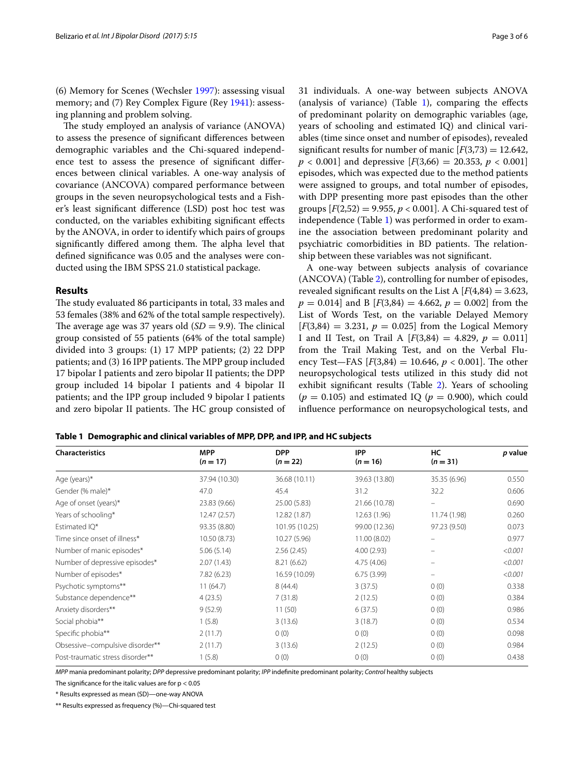(6) Memory for Scenes (Wechsler [1997\)](#page-5-15): assessing visual memory; and (7) Rey Complex Figure (Rey [1941](#page-5-16)): assessing planning and problem solving.

The study employed an analysis of variance (ANOVA) to assess the presence of signifcant diferences between demographic variables and the Chi-squared independence test to assess the presence of signifcant diferences between clinical variables. A one-way analysis of covariance (ANCOVA) compared performance between groups in the seven neuropsychological tests and a Fisher's least signifcant diference (LSD) post hoc test was conducted, on the variables exhibiting signifcant efects by the ANOVA, in order to identify which pairs of groups significantly differed among them. The alpha level that defned signifcance was 0.05 and the analyses were conducted using the IBM SPSS 21.0 statistical package.

## **Results**

The study evaluated 86 participants in total, 33 males and 53 females (38% and 62% of the total sample respectively). The average age was 37 years old  $(SD = 9.9)$ . The clinical group consisted of 55 patients (64% of the total sample) divided into 3 groups: (1) 17 MPP patients; (2) 22 DPP patients; and (3) 16 IPP patients. The MPP group included 17 bipolar I patients and zero bipolar II patients; the DPP group included 14 bipolar I patients and 4 bipolar II patients; and the IPP group included 9 bipolar I patients and zero bipolar II patients. The HC group consisted of 31 individuals. A one-way between subjects ANOVA (analysis of variance) (Table  $1$ ), comparing the effects of predominant polarity on demographic variables (age, years of schooling and estimated IQ) and clinical variables (time since onset and number of episodes), revealed significant results for number of manic  $[F(3,73) = 12.642]$ ,  $p < 0.001$  and depressive  $[F(3,66) = 20.353, p < 0.001]$ episodes, which was expected due to the method patients were assigned to groups, and total number of episodes, with DPP presenting more past episodes than the other groups  $[F(2,52) = 9.955, p < 0.001]$ . A Chi-squared test of independence (Table [1](#page-2-0)) was performed in order to examine the association between predominant polarity and psychiatric comorbidities in BD patients. The relationship between these variables was not signifcant.

A one-way between subjects analysis of covariance (ANCOVA) (Table [2\)](#page-3-0), controlling for number of episodes, revealed significant results on the List A  $[F(4,84) = 3.623,$  $p = 0.014$ ] and B [ $F(3,84) = 4.662$ ,  $p = 0.002$ ] from the List of Words Test, on the variable Delayed Memory  $[F(3,84) = 3.231, p = 0.025]$  from the Logical Memory I and II Test, on Trail A  $[F(3,84) = 4.829, p = 0.011]$ from the Trail Making Test, and on the Verbal Fluency Test—FAS  $[F(3,84) = 10.646, p < 0.001]$ . The other neuropsychological tests utilized in this study did not exhibit signifcant results (Table [2\)](#page-3-0). Years of schooling  $(p = 0.105)$  and estimated IQ  $(p = 0.900)$ , which could infuence performance on neuropsychological tests, and

<span id="page-2-0"></span>**Table 1 Demographic and clinical variables of MPP, DPP, and IPP, and HC subjects**

| <b>Characteristics</b>           | <b>MPP</b><br>$(n = 17)$ | <b>DPP</b><br>$(n = 22)$ | <b>IPP</b><br>$(n = 16)$ | HC<br>$(n = 31)$ | p value |
|----------------------------------|--------------------------|--------------------------|--------------------------|------------------|---------|
| Age (years)*                     | 37.94 (10.30)            | 36.68 (10.11)            | 39.63 (13.80)            | 35.35 (6.96)     | 0.550   |
| Gender (% male)*                 | 47.0                     | 45.4                     | 31.2                     | 32.2             | 0.606   |
| Age of onset (years)*            | 23.83 (9.66)             | 25.00 (5.83)             | 21.66 (10.78)            | -                | 0.690   |
| Years of schooling*              | 12.47 (2.57)             | 12.82 (1.87)             | 12.63 (1.96)             | 11.74 (1.98)     | 0.260   |
| Estimated IQ*                    | 93.35 (8.80)             | 101.95 (10.25)           | 99.00 (12.36)            | 97.23 (9.50)     | 0.073   |
| Time since onset of illness*     | 10.50 (8.73)             | 10.27 (5.96)             | 11.00 (8.02)             |                  | 0.977   |
| Number of manic episodes*        | 5.06(5.14)               | 2.56(2.45)               | 4.00(2.93)               |                  | < 0.001 |
| Number of depressive episodes*   | 2.07(1.43)               | 8.21(6.62)               | 4.75 (4.06)              | -                | < 0.001 |
| Number of episodes*              | 7.82(6.23)               | 16.59 (10.09)            | 6.75(3.99)               | -                | < 0.001 |
| Psychotic symptoms**             | 11(64.7)                 | 8(44.4)                  | 3(37.5)                  | 0(0)             | 0.338   |
| Substance dependence**           | 4(23.5)                  | 7(31.8)                  | 2(12.5)                  | 0(0)             | 0.384   |
| Anxiety disorders**              | 9(52.9)                  | 11(50)                   | 6(37.5)                  | 0(0)             | 0.986   |
| Social phobia**                  | 1(5.8)                   | 3(13.6)                  | 3(18.7)                  | 0(0)             | 0.534   |
| Specific phobia**                | 2(11.7)                  | 0(0)                     | 0(0)                     | 0(0)             | 0.098   |
| Obsessive-compulsive disorder**  | 2(11.7)                  | 3(13.6)                  | 2(12.5)                  | 0(0)             | 0.984   |
| Post-traumatic stress disorder** | 1(5.8)                   | 0(0)                     | 0(0)                     | 0(0)             | 0.438   |

*MPP* mania predominant polarity; *DPP* depressive predominant polarity; *IPP* indefnite predominant polarity; *Control* healthy subjects

The significance for the italic values are for  $p < 0.05$ 

\* Results expressed as mean (SD)—one-way ANOVA

\*\* Results expressed as frequency (%)—Chi-squared test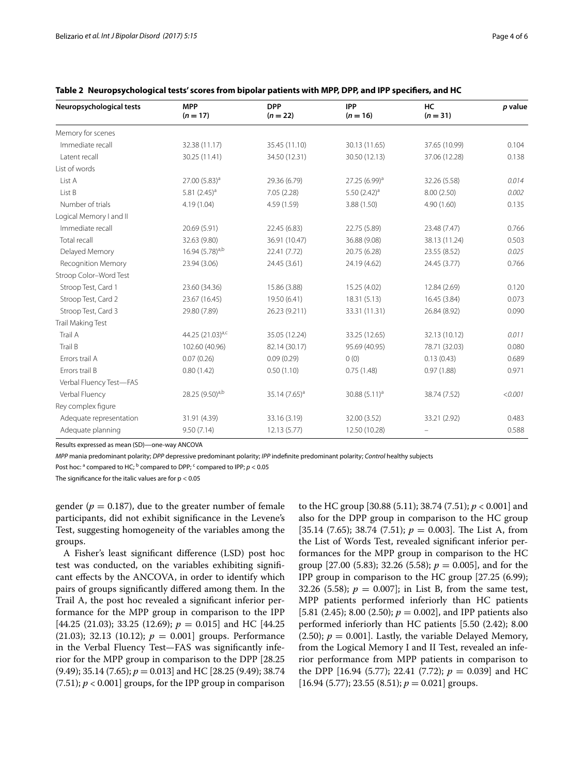| Neuropsychological tests  | <b>MPP</b><br>$(n = 17)$     | <b>DPP</b><br>$(n = 22)$ | <b>IPP</b><br>$(n = 16)$  | HC<br>$(n = 31)$         | p value |
|---------------------------|------------------------------|--------------------------|---------------------------|--------------------------|---------|
| Memory for scenes         |                              |                          |                           |                          |         |
| Immediate recall          | 32.38 (11.17)                | 35.45 (11.10)            | 30.13 (11.65)             | 37.65 (10.99)            | 0.104   |
| Latent recall             | 30.25 (11.41)                | 34.50 (12.31)            | 30.50 (12.13)             | 37.06 (12.28)            | 0.138   |
| List of words             |                              |                          |                           |                          |         |
| List A                    | 27.00 (5.83) <sup>a</sup>    | 29.36 (6.79)             | 27.25 (6.99) <sup>a</sup> | 32.26 (5.58)             | 0.014   |
| List B                    | 5.81 $(2.45)^a$              | 7.05(2.28)               | 5.50 $(2.42)^a$           | 8.00(2.50)               | 0.002   |
| Number of trials          | 4.19 (1.04)                  | 4.59 (1.59)              | 3.88 (1.50)               | 4.90(1.60)               | 0.135   |
| Logical Memory I and II   |                              |                          |                           |                          |         |
| Immediate recall          | 20.69 (5.91)                 | 22.45 (6.83)             | 22.75 (5.89)              | 23.48 (7.47)             | 0.766   |
| Total recall              | 32.63 (9.80)                 | 36.91 (10.47)            | 36.88 (9.08)              | 38.13 (11.24)            | 0.503   |
| Delayed Memory            | $16.94(5.78)^{a,b}$          | 22.41 (7.72)             | 20.75 (6.28)              | 23.55 (8.52)             | 0.025   |
| <b>Recognition Memory</b> | 23.94 (3.06)                 | 24.45 (3.61)             | 24.19 (4.62)              | 24.45 (3.77)             | 0.766   |
| Stroop Color-Word Test    |                              |                          |                           |                          |         |
| Stroop Test, Card 1       | 23.60 (34.36)                | 15.86 (3.88)             | 15.25 (4.02)              | 12.84 (2.69)             | 0.120   |
| Stroop Test, Card 2       | 23.67 (16.45)                | 19.50 (6.41)             | 18.31 (5.13)              | 16.45 (3.84)             | 0.073   |
| Stroop Test, Card 3       | 29.80 (7.89)                 | 26.23 (9.211)            | 33.31 (11.31)             | 26.84 (8.92)             | 0.090   |
| Trail Making Test         |                              |                          |                           |                          |         |
| Trail A                   | 44.25 (21.03) <sup>a,c</sup> | 35.05 (12.24)            | 33.25 (12.65)             | 32.13 (10.12)            | 0.011   |
| Trail B                   | 102.60 (40.96)               | 82.14 (30.17)            | 95.69 (40.95)             | 78.71 (32.03)            | 0.080   |
| Errors trail A            | 0.07(0.26)                   | 0.09(0.29)               | 0(0)                      | 0.13(0.43)               | 0.689   |
| Errors trail B            | 0.80(1.42)                   | 0.50(1.10)               | 0.75(1.48)                | 0.97(1.88)               | 0.971   |
| Verbal Fluency Test-FAS   |                              |                          |                           |                          |         |
| Verbal Fluency            | 28.25 (9.50) <sup>a,b</sup>  | $35.14(7.65)^a$          | 30.88 $(5.11)^a$          | 38.74 (7.52)             | < 0.001 |
| Rey complex figure        |                              |                          |                           |                          |         |
| Adequate representation   | 31.91 (4.39)                 | 33.16 (3.19)             | 32.00 (3.52)              | 33.21 (2.92)             | 0.483   |
| Adequate planning         | 9.50(7.14)                   | 12.13 (5.77)             | 12.50 (10.28)             | $\overline{\phantom{0}}$ | 0.588   |

<span id="page-3-0"></span>**Table 2 Neuropsychological tests' scores from bipolar patients with MPP, DPP, and IPP specifers, and HC**

Results expressed as mean (SD)—one-way ANCOVA

*MPP* mania predominant polarity; *DPP* depressive predominant polarity; *IPP* indefnite predominant polarity; *Control* healthy subjects

Post hoc: <sup>a</sup> compared to HC; <sup>b</sup> compared to DPP; <sup>c</sup> compared to IPP;  $p < 0.05$ 

The significance for the italic values are for  $p < 0.05$ 

gender ( $p = 0.187$ ), due to the greater number of female participants, did not exhibit signifcance in the Levene's Test, suggesting homogeneity of the variables among the groups.

A Fisher's least signifcant diference (LSD) post hoc test was conducted, on the variables exhibiting signifcant efects by the ANCOVA, in order to identify which pairs of groups signifcantly difered among them. In the Trail A, the post hoc revealed a signifcant inferior performance for the MPP group in comparison to the IPP [44.25 (21.03); 33.25 (12.69);  $p = 0.015$ ] and HC [44.25 (21.03); 32.13 (10.12); *p* = 0.001] groups. Performance in the Verbal Fluency Test—FAS was signifcantly inferior for the MPP group in comparison to the DPP [28.25 (9.49); 35.14 (7.65); *p* = 0.013] and HC [28.25 (9.49); 38.74  $(7.51)$ ;  $p < 0.001$ ] groups, for the IPP group in comparison to the HC group [30.88 (5.11); 38.74 (7.51); *p* < 0.001] and also for the DPP group in comparison to the HC group [35.14 (7.65); 38.74 (7.51);  $p = 0.003$ ]. The List A, from the List of Words Test, revealed signifcant inferior performances for the MPP group in comparison to the HC group [27.00 (5.83); 32.26 (5.58); *p* = 0.005], and for the IPP group in comparison to the HC group [27.25 (6.99); 32.26 (5.58);  $p = 0.007$ ]; in List B, from the same test, MPP patients performed inferiorly than HC patients [5.81 (2.45); 8.00 (2.50);  $p = 0.002$ ], and IPP patients also performed inferiorly than HC patients [5.50 (2.42); 8.00 (2.50);  $p = 0.001$ ]. Lastly, the variable Delayed Memory, from the Logical Memory I and II Test, revealed an inferior performance from MPP patients in comparison to the DPP [16.94 (5.77); 22.41 (7.72);  $p = 0.039$ ] and HC [16.94 (5.77); 23.55 (8.51); *p* = 0.021] groups.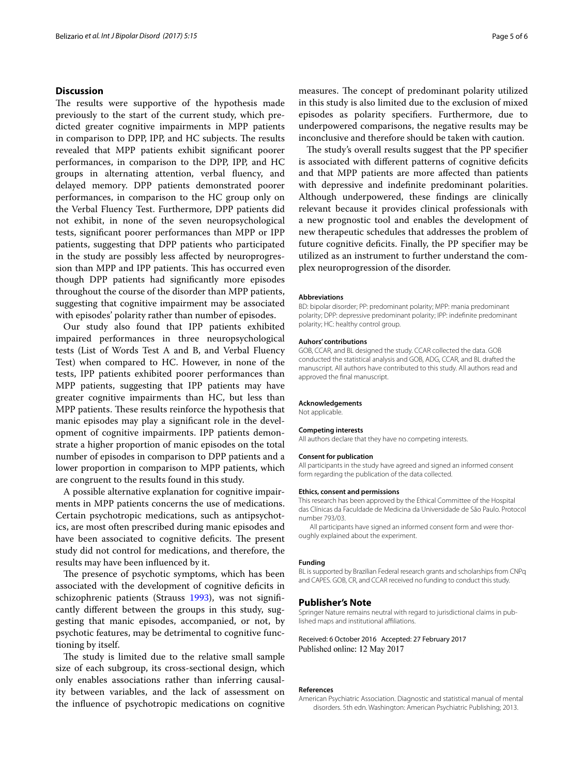# **Discussion**

The results were supportive of the hypothesis made previously to the start of the current study, which predicted greater cognitive impairments in MPP patients in comparison to DPP, IPP, and HC subjects. The results revealed that MPP patients exhibit signifcant poorer performances, in comparison to the DPP, IPP, and HC groups in alternating attention, verbal fuency, and delayed memory. DPP patients demonstrated poorer performances, in comparison to the HC group only on the Verbal Fluency Test. Furthermore, DPP patients did not exhibit, in none of the seven neuropsychological tests, signifcant poorer performances than MPP or IPP patients, suggesting that DPP patients who participated in the study are possibly less afected by neuroprogression than MPP and IPP patients. This has occurred even though DPP patients had signifcantly more episodes throughout the course of the disorder than MPP patients, suggesting that cognitive impairment may be associated with episodes' polarity rather than number of episodes.

Our study also found that IPP patients exhibited impaired performances in three neuropsychological tests (List of Words Test A and B, and Verbal Fluency Test) when compared to HC. However, in none of the tests, IPP patients exhibited poorer performances than MPP patients, suggesting that IPP patients may have greater cognitive impairments than HC, but less than MPP patients. These results reinforce the hypothesis that manic episodes may play a signifcant role in the development of cognitive impairments. IPP patients demonstrate a higher proportion of manic episodes on the total number of episodes in comparison to DPP patients and a lower proportion in comparison to MPP patients, which are congruent to the results found in this study.

A possible alternative explanation for cognitive impairments in MPP patients concerns the use of medications. Certain psychotropic medications, such as antipsychotics, are most often prescribed during manic episodes and have been associated to cognitive deficits. The present study did not control for medications, and therefore, the results may have been infuenced by it.

The presence of psychotic symptoms, which has been associated with the development of cognitive defcits in schizophrenic patients (Strauss [1993](#page-5-17)), was not signifcantly diferent between the groups in this study, suggesting that manic episodes, accompanied, or not, by psychotic features, may be detrimental to cognitive functioning by itself.

The study is limited due to the relative small sample size of each subgroup, its cross-sectional design, which only enables associations rather than inferring causality between variables, and the lack of assessment on the infuence of psychotropic medications on cognitive measures. The concept of predominant polarity utilized in this study is also limited due to the exclusion of mixed episodes as polarity specifers. Furthermore, due to underpowered comparisons, the negative results may be inconclusive and therefore should be taken with caution.

The study's overall results suggest that the PP specifier is associated with diferent patterns of cognitive defcits and that MPP patients are more afected than patients with depressive and indefnite predominant polarities. Although underpowered, these fndings are clinically relevant because it provides clinical professionals with a new prognostic tool and enables the development of new therapeutic schedules that addresses the problem of future cognitive deficits. Finally, the PP specifier may be utilized as an instrument to further understand the complex neuroprogression of the disorder.

#### **Abbreviations**

BD: bipolar disorder; PP: predominant polarity; MPP: mania predominant polarity; DPP: depressive predominant polarity; IPP: indefnite predominant polarity; HC: healthy control group.

## **Auhors' contributions**

GOB, CCAR, and BL designed the study. CCAR collected the data. GOB conducted the statistical analysis and GOB, ADG, CCAR, and BL drafted the manuscript. All authors have contributed to this study. All authors read and approved the fnal manuscript.

#### **Acknowledgements**

Not applicable.

#### **Competing interests**

All authors declare that they have no competing interests.

#### **Consent for publication**

All participants in the study have agreed and signed an informed consent form regarding the publication of the data collected.

#### **Ethics, consent and permissions**

This research has been approved by the Ethical Committee of the Hospital das Clínicas da Faculdade de Medicina da Universidade de São Paulo. Protocol number 793/03.

All participants have signed an informed consent form and were thoroughly explained about the experiment.

#### **Funding**

BL is supported by Brazilian Federal research grants and scholarships from CNPq and CAPES. GOB, CR, and CCAR received no funding to conduct this study.

## **Publisher's Note**

Springer Nature remains neutral with regard to jurisdictional claims in published maps and institutional afliations.

Received: 6 October 2016 Accepted: 27 February 2017 Published online: 12 May 2017

### **References**

<span id="page-4-0"></span>American Psychiatric Association. Diagnostic and statistical manual of mental disorders. 5th edn. Washington: American Psychiatric Publishing; 2013.